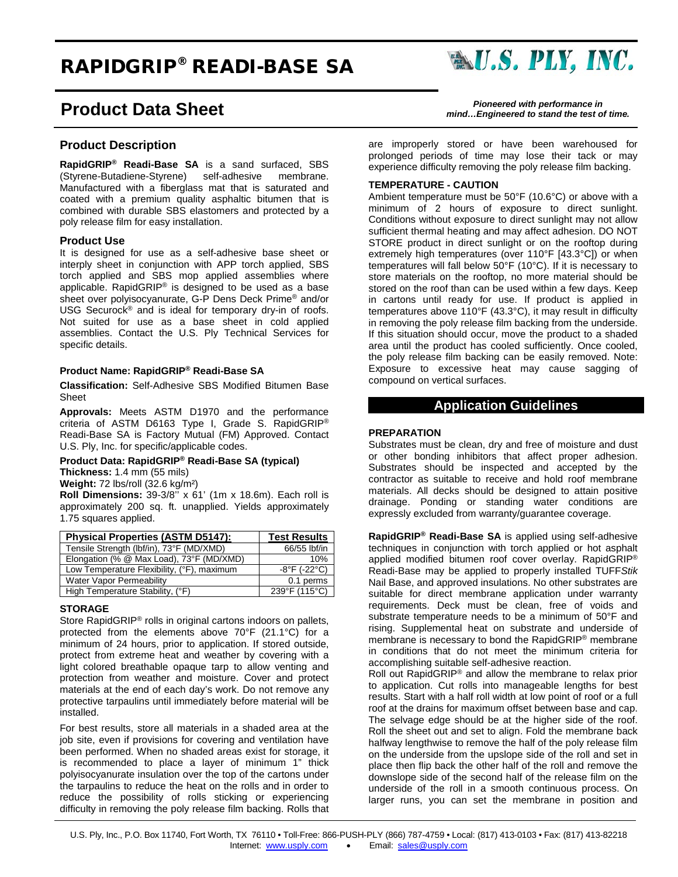# RAPIDGRIP® READI-BASE SA

# **Product Data Sheet** *Pioneered with performance in*

# **Product Description**

**RapidGRIP® Readi-Base SA** is a sand surfaced, SBS (Styrene-Butadiene-Styrene) self-adhesive Manufactured with a fiberglass mat that is saturated and coated with a premium quality asphaltic bitumen that is combined with durable SBS elastomers and protected by a poly release film for easy installation.

#### **Product Use**

It is designed for use as a self-adhesive base sheet or interply sheet in conjunction with APP torch applied, SBS torch applied and SBS mop applied assemblies where applicable. RapidGRIP® is designed to be used as a base sheet over polyisocyanurate, G-P Dens Deck Prime® and/or USG Securock® and is ideal for temporary dry-in of roofs. Not suited for use as a base sheet in cold applied assemblies. Contact the U.S. Ply Technical Services for specific details.

## **Product Name: RapidGRIP® Readi-Base SA**

**Classification:** Self-Adhesive SBS Modified Bitumen Base **Sheet** 

**Approvals:** Meets ASTM D1970 and the performance criteria of ASTM D6163 Type I, Grade S. RapidGRIP® Readi-Base SA is Factory Mutual (FM) Approved. Contact U.S. Ply, Inc. for specific/applicable codes.

#### **Product Data: RapidGRIP® Readi-Base SA (typical) Thickness:** 1.4 mm (55 mils)

**Weight:** 72 lbs/roll (32.6 kg/m²)

**Roll Dimensions:** 39-3/8'' x 61' (1m x 18.6m). Each roll is approximately 200 sq. ft. unapplied. Yields approximately 1.75 squares applied.

| Physical Properties (ASTM D5147):          | <b>Test Results</b>               |
|--------------------------------------------|-----------------------------------|
| Tensile Strength (lbf/in), 73°F (MD/XMD)   | 66/55 lbf/in                      |
| Elongation (% @ Max Load), 73°F (MD/XMD)   | 10%                               |
| Low Temperature Flexibility, (°F), maximum | $-8^{\circ}$ F ( $-22^{\circ}$ C) |
| Water Vapor Permeability                   | 0.1 perms                         |
| High Temperature Stability, (°F)           | 239°F (115°C)                     |

# **STORAGE**

Store RapidGRIP® rolls in original cartons indoors on pallets, protected from the elements above 70°F (21.1°C) for a minimum of 24 hours, prior to application. If stored outside, protect from extreme heat and weather by covering with a light colored breathable opaque tarp to allow venting and protection from weather and moisture. Cover and protect materials at the end of each day's work. Do not remove any protective tarpaulins until immediately before material will be installed.

For best results, store all materials in a shaded area at the job site, even if provisions for covering and ventilation have been performed. When no shaded areas exist for storage, it is recommended to place a layer of minimum 1" thick polyisocyanurate insulation over the top of the cartons under the tarpaulins to reduce the heat on the rolls and in order to reduce the possibility of rolls sticking or experiencing difficulty in removing the poly release film backing. Rolls that

*mind…Engineered to stand the test of time.*

are improperly stored or have been warehoused for prolonged periods of time may lose their tack or may experience difficulty removing the poly release film backing.

#### **TEMPERATURE - CAUTION**

Ambient temperature must be 50°F (10.6°C) or above with a minimum of 2 hours of exposure to direct sunlight. Conditions without exposure to direct sunlight may not allow sufficient thermal heating and may affect adhesion. DO NOT STORE product in direct sunlight or on the rooftop during extremely high temperatures (over 110°F [43.3°C]) or when temperatures will fall below 50°F (10°C). If it is necessary to store materials on the rooftop, no more material should be stored on the roof than can be used within a few days. Keep in cartons until ready for use. If product is applied in temperatures above 110°F (43.3°C), it may result in difficulty in removing the poly release film backing from the underside. If this situation should occur, move the product to a shaded area until the product has cooled sufficiently. Once cooled, the poly release film backing can be easily removed. Note: Exposure to excessive heat may cause sagging of compound on vertical surfaces.

# **Application Guidelines**

### **PREPARATION**

Substrates must be clean, dry and free of moisture and dust or other bonding inhibitors that affect proper adhesion. Substrates should be inspected and accepted by the contractor as suitable to receive and hold roof membrane materials. All decks should be designed to attain positive drainage. Ponding or standing water conditions are expressly excluded from warranty/guarantee coverage.

**RapidGRIP® Readi-Base SA** is applied using self-adhesive techniques in conjunction with torch applied or hot asphalt applied modified bitumen roof cover overlay. RapidGRIP® Readi-Base may be applied to properly installed TUFF*Stik* Nail Base, and approved insulations. No other substrates are suitable for direct membrane application under warranty requirements. Deck must be clean, free of voids and substrate temperature needs to be a minimum of 50°F and rising. Supplemental heat on substrate and underside of membrane is necessary to bond the RapidGRIP® membrane in conditions that do not meet the minimum criteria for accomplishing suitable self-adhesive reaction.

Roll out RapidGRIP® and allow the membrane to relax prior to application. Cut rolls into manageable lengths for best results. Start with a half roll width at low point of roof or a full roof at the drains for maximum offset between base and cap. The selvage edge should be at the higher side of the roof. Roll the sheet out and set to align. Fold the membrane back halfway lengthwise to remove the half of the poly release film on the underside from the upslope side of the roll and set in place then flip back the other half of the roll and remove the downslope side of the second half of the release film on the underside of the roll in a smooth continuous process. On larger runs, you can set the membrane in position and